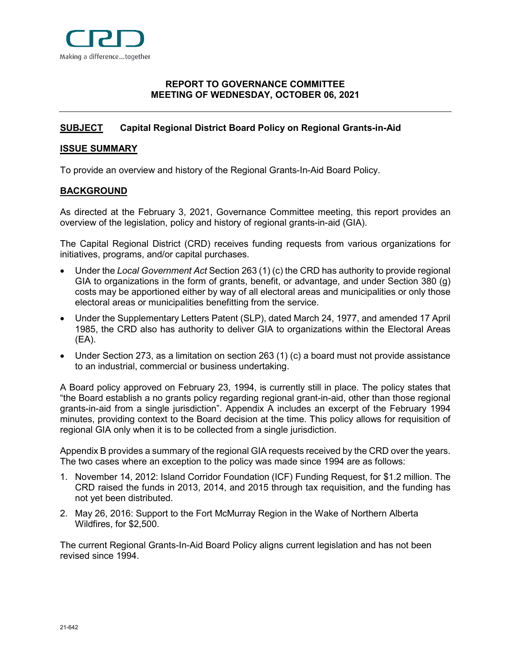

# <span id="page-0-0"></span>**[REPORT](#page-0-0) TO GOVERNANCE COMMITTEE MEETING OF WEDNESDAY, OCTOBER 06, 2021**

# <span id="page-0-1"></span>**[SUBJECT](#page-0-1) Capital Regional District Board Policy on Regional Grants-in-Aid**

# <span id="page-0-2"></span>**[ISSUE SUMMARY](#page-0-2)**

To provide an overview and history of the Regional Grants-In-Aid Board Policy.

# <span id="page-0-3"></span>**[BACKGROUND](#page-0-3)**

As directed at the February 3, 2021, Governance Committee meeting, this report provides an overview of the legislation, policy and history of regional grants-in-aid (GIA).

The Capital Regional District (CRD) receives funding requests from various organizations for initiatives, programs, and/or capital purchases.

- Under the *Local Government Act* Section 263 (1) (c) the CRD has authority to provide regional GIA to organizations in the form of grants, benefit, or advantage, and under Section 380 (g) costs may be apportioned either by way of all electoral areas and municipalities or only those electoral areas or municipalities benefitting from the service.
- Under the Supplementary Letters Patent (SLP), dated March 24, 1977, and amended 17 April 1985, the CRD also has authority to deliver GIA to organizations within the Electoral Areas (EA).
- Under Section 273, as a limitation on section 263 (1) (c) a board must not provide assistance to an industrial, commercial or business undertaking.

A Board policy approved on February 23, 1994, is currently still in place. The policy states that "the Board establish a no grants policy regarding regional grant-in-aid, other than those regional grants-in-aid from a single jurisdiction". Appendix A includes an excerpt of the February 1994 minutes, providing context to the Board decision at the time. This policy allows for requisition of regional GIA only when it is to be collected from a single jurisdiction.

Appendix B provides a summary of the regional GIA requests received by the CRD over the years. The two cases where an exception to the policy was made since 1994 are as follows:

- 1. November 14, 2012: Island Corridor Foundation (ICF) Funding Request, for \$1.2 million. The CRD raised the funds in 2013, 2014, and 2015 through tax requisition, and the funding has not yet been distributed.
- 2. May 26, 2016: Support to the Fort McMurray Region in the Wake of Northern Alberta Wildfires, for \$2,500.

The current Regional Grants-In-Aid Board Policy aligns current legislation and has not been revised since 1994.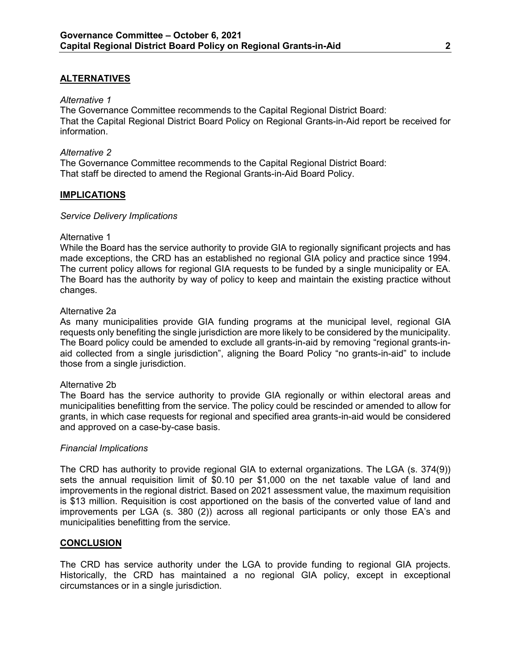# <span id="page-1-0"></span>**[ALTERNATIVES](#page-1-0)**

#### *Alternative 1*

<span id="page-1-3"></span>The Governance Committee recommends to the Capital Regional District Board: That the Capital Regional District Board Policy on Regional Grants-in-Aid report be received for information.

### *Alternative 2*

The Governance Committee recommends to the Capital Regional District Board: That staff be directed to amend the Regional Grants-in-Aid Board Policy.

## <span id="page-1-1"></span>**[IMPLICATIONS](#page-1-1)**

#### *Service Delivery Implications*

#### Alternative 1

While the Board has the service authority to provide GIA to regionally significant projects and has made exceptions, the CRD has an established no regional GIA policy and practice since 1994. The current policy allows for regional GIA requests to be funded by a single municipality or EA. The Board has the authority by way of policy to keep and maintain the existing practice without changes.

#### Alternative 2a

As many municipalities provide GIA funding programs at the municipal level, regional GIA requests only benefiting the single jurisdiction are more likely to be considered by the municipality. The Board policy could be amended to exclude all grants-in-aid by removing "regional grants-inaid collected from a single jurisdiction", aligning the Board Policy "no grants-in-aid" to include those from a single jurisdiction.

## Alternative 2b

The Board has the service authority to provide GIA regionally or within electoral areas and municipalities benefitting from the service. The policy could be rescinded or amended to allow for grants, in which case requests for regional and specified area grants-in-aid would be considered and approved on a case-by-case basis.

#### *Financial Implications*

The CRD has authority to provide regional GIA to external organizations. The LGA (s. 374(9)) sets the annual requisition limit of \$0.10 per \$1,000 on the net taxable value of land and improvements in the regional district. Based on 2021 assessment value, the maximum requisition is \$13 million. Requisition is cost apportioned on the basis of the converted value of land and improvements per LGA (s. 380 (2)) across all regional participants or only those EA's and municipalities benefitting from the service.

## <span id="page-1-2"></span>**[CONCLUSION](#page-1-2)**

The CRD has service authority under the LGA to provide funding to regional GIA projects. Historically, the CRD has maintained a no regional GIA policy, except in exceptional circumstances or in a single jurisdiction.